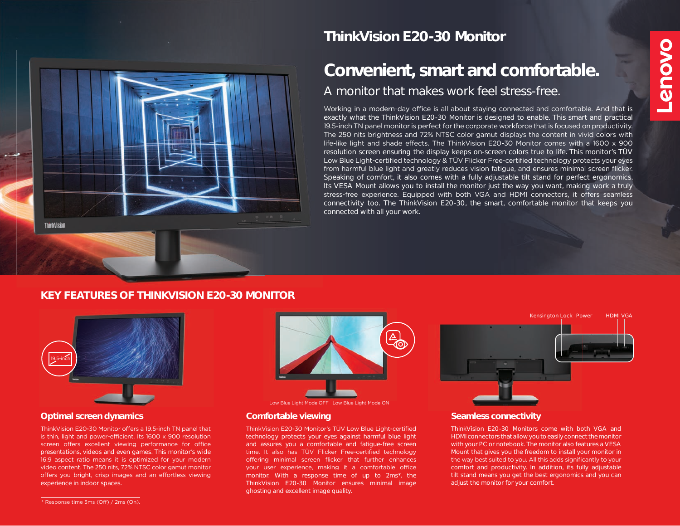

# **ThinkVision E20-30 Monitor**

# **Convenient, smart and comfortable.** A monitor that makes work feel stress-free.

Working in a modern-day office is all about staying connected and comfortable. And that is exactly what the ThinkVision E20-30 Monitor is designed to enable. This smart and practical 19.5-inch TN panel monitor is perfect for the corporate workforce that is focused on productivity. The 250 nits brightness and 72% NTSC color gamut displays the content in vivid colors with life-like light and shade effects. The ThinkVision E20-30 Monitor comes with a 1600 x 900 resolution screen ensuring the display keeps on-screen colors true to life. This monitor's TÜV Low Blue Light-certified technology & TÜV Flicker Free-certified technology protects your eyes from harmful blue light and greatly reduces vision fatigue, and ensures minimal screen flicker. Speaking of comfort, it also comes with a fully adjustable tilt stand for perfect ergonomics. Its VESA Mount allows you to install the monitor just the way you want, making work a truly stress-free experience. Equipped with both VGA and HDMI connectors, it offers seamless connectivity too. The ThinkVision E20-30, the smart, comfortable monitor that keeps you connected with all your work.

### **KEY FEATURES OF THINKVISION E20-30 MONITOR**



#### **Optimal screen dynamics Comfortable viewing**

ThinkVision E20-30 Monitor offers a 19.5-inch TN panel that is thin, light and power-efficient. Its 1600 x 900 resolution screen offers excellent viewing performance for office presentations, videos and even games. This monitor's wide 16:9 aspect ratio means it is optimized for your modern video content. The 250 nits, 72% NTSC color gamut monitor offers you bright, crisp images and an effortless viewing experience in indoor spaces.



#### Low Blue Light Mode OFF Low Blue Light Mode ON

ThinkVision E20-30 Monitor's TÜV Low Blue Light-certified technology protects your eyes against harmful blue light and assures you a comfortable and fatigue-free screen time. It also has TÜV Flicker Free-certified technology offering minimal screen flicker that further enhances your user experience, making it a comfortable office monitor. With a response time of up to 2ms\*, the ThinkVision E20-30 Monitor ensures minimal image ghosting and excellent image quality.



#### **Seamless connectivity**

ThinkVision E20-30 Monitors come with both VGA and HDMI connectors that allow you to easily connect the monitor with your PC or notebook. The monitor also features a VESA Mount that gives you the freedom to install your monitor in the way best suited to you. All this adds significantly to your comfort and productivity. In addition, its fully adjustable tilt stand means you get the best ergonomics and you can adjust the monitor for your comfort.